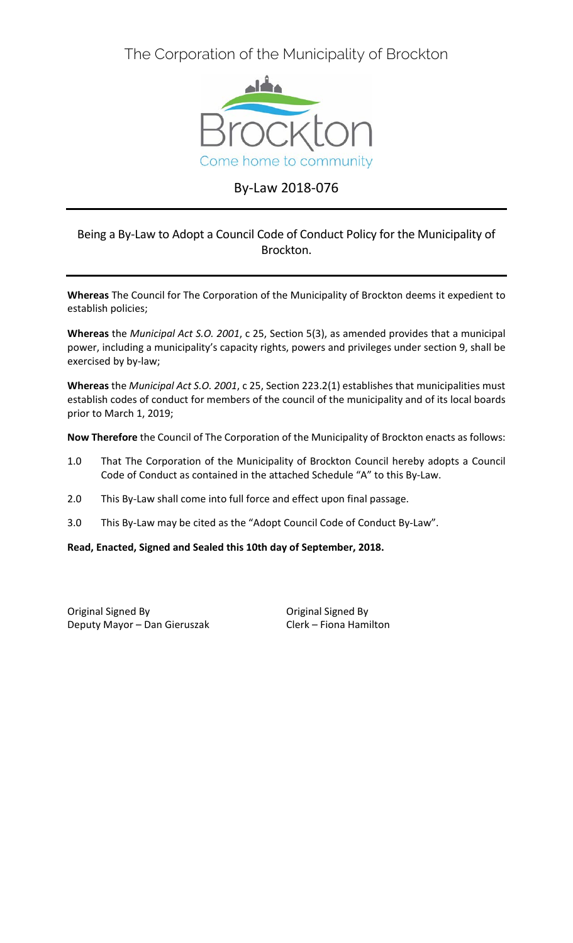The Corporation of the Municipality of Brockton



# By-Law 2018-076

# Being a By-Law to Adopt a Council Code of Conduct Policy for the Municipality of Brockton.

**Whereas** The Council for The Corporation of the Municipality of Brockton deems it expedient to establish policies;

**Whereas** the *Municipal Act S.O. 2001*, c 25, Section 5(3), as amended provides that a municipal power, including a municipality's capacity rights, powers and privileges under section 9, shall be exercised by by-law;

**Whereas** the *Municipal Act S.O. 2001*, c 25, Section 223.2(1) establishes that municipalities must establish codes of conduct for members of the council of the municipality and of its local boards prior to March 1, 2019;

**Now Therefore** the Council of The Corporation of the Municipality of Brockton enacts as follows:

- 1.0 That The Corporation of the Municipality of Brockton Council hereby adopts a Council Code of Conduct as contained in the attached Schedule "A" to this By-Law.
- 2.0 This By-Law shall come into full force and effect upon final passage.
- 3.0 This By-Law may be cited as the "Adopt Council Code of Conduct By-Law".

**Read, Enacted, Signed and Sealed this 10th day of September, 2018.** 

Original Signed By Deputy Mayor – Dan Gieruszak

Original Signed By Clerk – Fiona Hamilton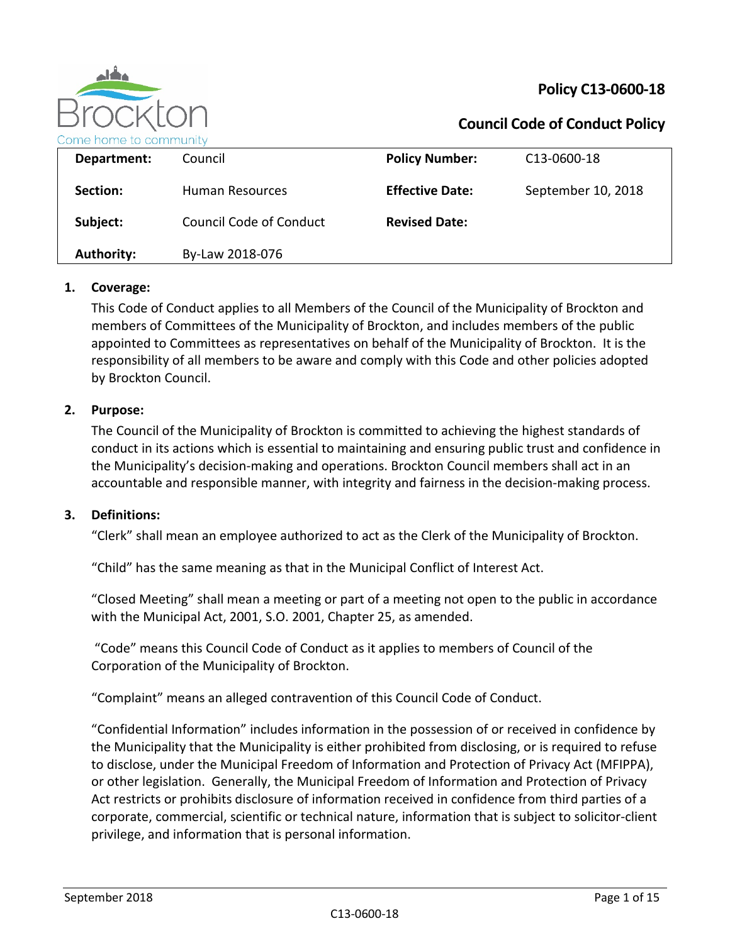

# **Policy C13-0600-18**

# **Council Code of Conduct Policy**

| Department:       | Council                        | <b>Policy Number:</b>  | C <sub>13</sub> -0600-18 |
|-------------------|--------------------------------|------------------------|--------------------------|
| Section:          | Human Resources                | <b>Effective Date:</b> | September 10, 2018       |
| Subject:          | <b>Council Code of Conduct</b> | <b>Revised Date:</b>   |                          |
| <b>Authority:</b> | By-Law 2018-076                |                        |                          |

# **1. Coverage:**

This Code of Conduct applies to all Members of the Council of the Municipality of Brockton and members of Committees of the Municipality of Brockton, and includes members of the public appointed to Committees as representatives on behalf of the Municipality of Brockton. It is the responsibility of all members to be aware and comply with this Code and other policies adopted by Brockton Council.

### **2. Purpose:**

The Council of the Municipality of Brockton is committed to achieving the highest standards of conduct in its actions which is essential to maintaining and ensuring public trust and confidence in the Municipality's decision-making and operations. Brockton Council members shall act in an accountable and responsible manner, with integrity and fairness in the decision-making process.

#### **3. Definitions:**

"Clerk" shall mean an employee authorized to act as the Clerk of the Municipality of Brockton.

"Child" has the same meaning as that in the Municipal Conflict of Interest Act.

"Closed Meeting" shall mean a meeting or part of a meeting not open to the public in accordance with the Municipal Act, 2001, S.O. 2001, Chapter 25, as amended.

"Code" means this Council Code of Conduct as it applies to members of Council of the Corporation of the Municipality of Brockton.

"Complaint" means an alleged contravention of this Council Code of Conduct.

"Confidential Information" includes information in the possession of or received in confidence by the Municipality that the Municipality is either prohibited from disclosing, or is required to refuse to disclose, under the Municipal Freedom of Information and Protection of Privacy Act (MFIPPA), or other legislation. Generally, the Municipal Freedom of Information and Protection of Privacy Act restricts or prohibits disclosure of information received in confidence from third parties of a corporate, commercial, scientific or technical nature, information that is subject to solicitor-client privilege, and information that is personal information.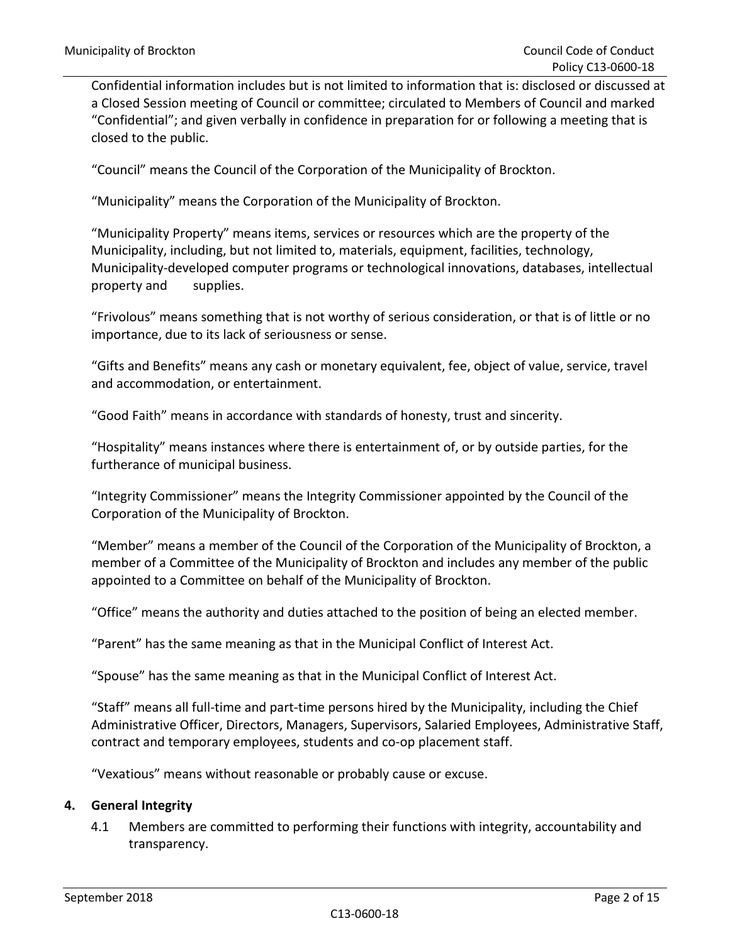Confidential information includes but is not limited to information that is: disclosed or discussed at a Closed Session meeting of Council or committee; circulated to Members of Council and marked "Confidential"; and given verbally in confidence in preparation for or following a meeting that is closed to the public.

"Council" means the Council of the Corporation of the Municipality of Brockton.

"Municipality" means the Corporation of the Municipality of Brockton.

"Municipality Property" means items, services or resources which are the property of the Municipality, including, but not limited to, materials, equipment, facilities, technology, Municipality-developed computer programs or technological innovations, databases, intellectual property and supplies.

"Frivolous" means something that is not worthy of serious consideration, or that is of little or no importance, due to its lack of seriousness or sense.

"Gifts and Benefits" means any cash or monetary equivalent, fee, object of value, service, travel and accommodation, or entertainment.

"Good Faith" means in accordance with standards of honesty, trust and sincerity.

"Hospitality" means instances where there is entertainment of, or by outside parties, for the furtherance of municipal business.

"Integrity Commissioner" means the Integrity Commissioner appointed by the Council of the Corporation of the Municipality of Brockton.

"Member" means a member of the Council of the Corporation of the Municipality of Brockton, a member of a Committee of the Municipality of Brockton and includes any member of the public appointed to a Committee on behalf of the Municipality of Brockton.

"Office" means the authority and duties attached to the position of being an elected member.

"Parent" has the same meaning as that in the Municipal Conflict of Interest Act.

"Spouse" has the same meaning as that in the Municipal Conflict of Interest Act.

"Staff" means all full-time and part-time persons hired by the Municipality, including the Chief Administrative Officer, Directors, Managers, Supervisors, Salaried Employees, Administrative Staff, contract and temporary employees, students and co-op placement staff.

"Vexatious" means without reasonable or probably cause or excuse.

### **4. General Integrity**

4.1 Members are committed to performing their functions with integrity, accountability and transparency.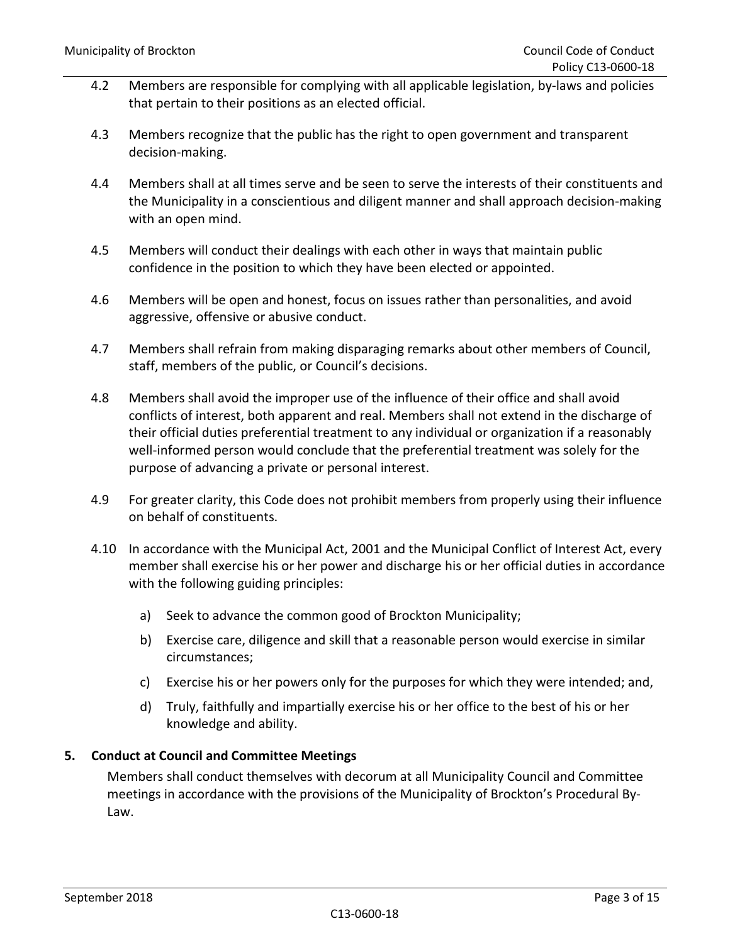- 4.2 Members are responsible for complying with all applicable legislation, by-laws and policies that pertain to their positions as an elected official.
- 4.3 Members recognize that the public has the right to open government and transparent decision-making.
- 4.4 Members shall at all times serve and be seen to serve the interests of their constituents and the Municipality in a conscientious and diligent manner and shall approach decision-making with an open mind.
- 4.5 Members will conduct their dealings with each other in ways that maintain public confidence in the position to which they have been elected or appointed.
- 4.6 Members will be open and honest, focus on issues rather than personalities, and avoid aggressive, offensive or abusive conduct.
- 4.7 Members shall refrain from making disparaging remarks about other members of Council, staff, members of the public, or Council's decisions.
- 4.8 Members shall avoid the improper use of the influence of their office and shall avoid conflicts of interest, both apparent and real. Members shall not extend in the discharge of their official duties preferential treatment to any individual or organization if a reasonably well-informed person would conclude that the preferential treatment was solely for the purpose of advancing a private or personal interest.
- 4.9 For greater clarity, this Code does not prohibit members from properly using their influence on behalf of constituents.
- 4.10 In accordance with the Municipal Act, 2001 and the Municipal Conflict of Interest Act, every member shall exercise his or her power and discharge his or her official duties in accordance with the following guiding principles:
	- a) Seek to advance the common good of Brockton Municipality;
	- b) Exercise care, diligence and skill that a reasonable person would exercise in similar circumstances;
	- c) Exercise his or her powers only for the purposes for which they were intended; and,
	- d) Truly, faithfully and impartially exercise his or her office to the best of his or her knowledge and ability.

# **5. Conduct at Council and Committee Meetings**

Members shall conduct themselves with decorum at all Municipality Council and Committee meetings in accordance with the provisions of the Municipality of Brockton's Procedural By-Law.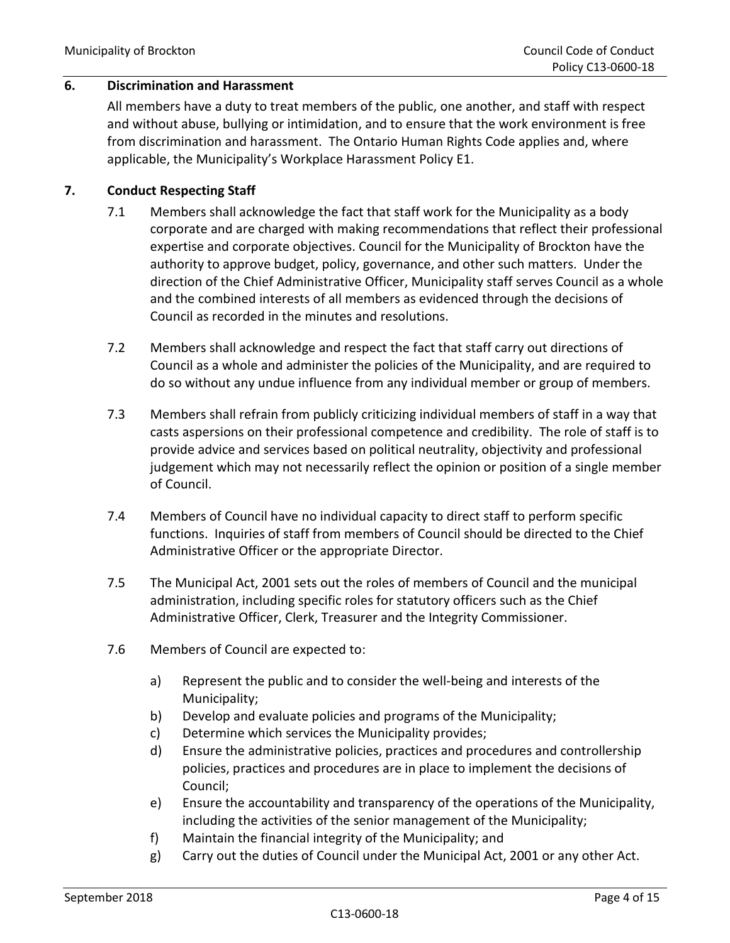# **6. Discrimination and Harassment**

All members have a duty to treat members of the public, one another, and staff with respect and without abuse, bullying or intimidation, and to ensure that the work environment is free from discrimination and harassment. The Ontario Human Rights Code applies and, where applicable, the Municipality's Workplace Harassment Policy E1.

### **7. Conduct Respecting Staff**

- 7.1 Members shall acknowledge the fact that staff work for the Municipality as a body corporate and are charged with making recommendations that reflect their professional expertise and corporate objectives. Council for the Municipality of Brockton have the authority to approve budget, policy, governance, and other such matters. Under the direction of the Chief Administrative Officer, Municipality staff serves Council as a whole and the combined interests of all members as evidenced through the decisions of Council as recorded in the minutes and resolutions.
- 7.2 Members shall acknowledge and respect the fact that staff carry out directions of Council as a whole and administer the policies of the Municipality, and are required to do so without any undue influence from any individual member or group of members.
- 7.3 Members shall refrain from publicly criticizing individual members of staff in a way that casts aspersions on their professional competence and credibility. The role of staff is to provide advice and services based on political neutrality, objectivity and professional judgement which may not necessarily reflect the opinion or position of a single member of Council.
- 7.4 Members of Council have no individual capacity to direct staff to perform specific functions. Inquiries of staff from members of Council should be directed to the Chief Administrative Officer or the appropriate Director.
- 7.5 The Municipal Act, 2001 sets out the roles of members of Council and the municipal administration, including specific roles for statutory officers such as the Chief Administrative Officer, Clerk, Treasurer and the Integrity Commissioner.
- 7.6 Members of Council are expected to:
	- a) Represent the public and to consider the well-being and interests of the Municipality;
	- b) Develop and evaluate policies and programs of the Municipality;
	- c) Determine which services the Municipality provides;
	- d) Ensure the administrative policies, practices and procedures and controllership policies, practices and procedures are in place to implement the decisions of Council;
	- e) Ensure the accountability and transparency of the operations of the Municipality, including the activities of the senior management of the Municipality;
	- f) Maintain the financial integrity of the Municipality; and
	- g) Carry out the duties of Council under the Municipal Act, 2001 or any other Act.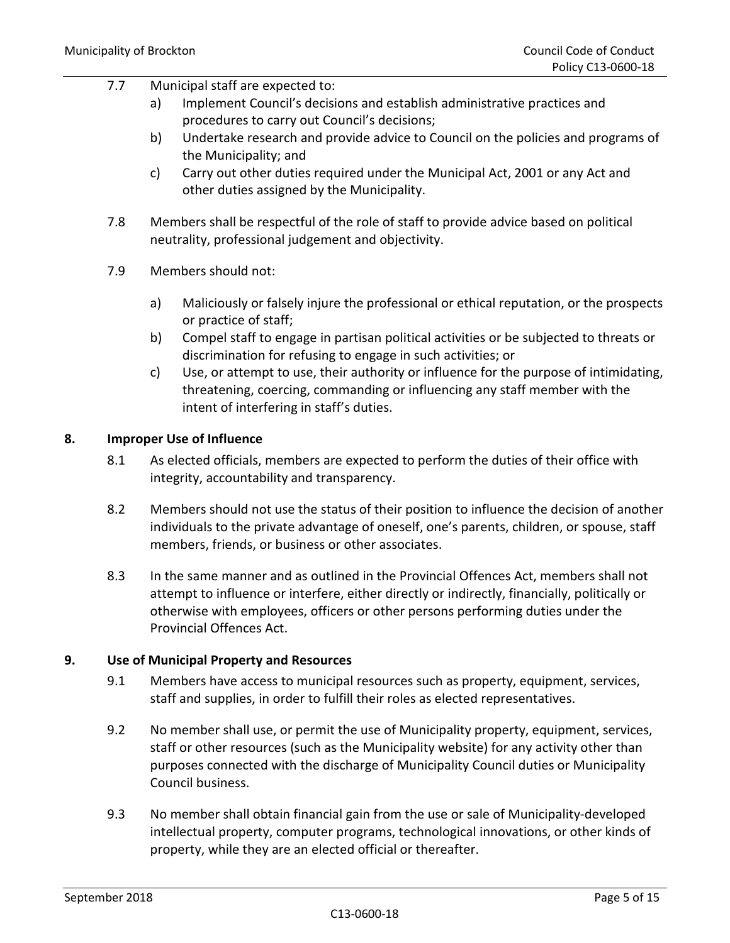# 7.7 Municipal staff are expected to:

- a) Implement Council's decisions and establish administrative practices and procedures to carry out Council's decisions;
- b) Undertake research and provide advice to Council on the policies and programs of the Municipality; and
- c) Carry out other duties required under the Municipal Act, 2001 or any Act and other duties assigned by the Municipality.
- 7.8 Members shall be respectful of the role of staff to provide advice based on political neutrality, professional judgement and objectivity.
- 7.9 Members should not:
	- a) Maliciously or falsely injure the professional or ethical reputation, or the prospects or practice of staff;
	- b) Compel staff to engage in partisan political activities or be subjected to threats or discrimination for refusing to engage in such activities; or
	- c) Use, or attempt to use, their authority or influence for the purpose of intimidating, threatening, coercing, commanding or influencing any staff member with the intent of interfering in staff's duties.

# **8. Improper Use of Influence**

- 8.1 As elected officials, members are expected to perform the duties of their office with integrity, accountability and transparency.
- 8.2 Members should not use the status of their position to influence the decision of another individuals to the private advantage of oneself, one's parents, children, or spouse, staff members, friends, or business or other associates.
- 8.3 In the same manner and as outlined in the Provincial Offences Act, members shall not attempt to influence or interfere, either directly or indirectly, financially, politically or otherwise with employees, officers or other persons performing duties under the Provincial Offences Act.

#### **9. Use of Municipal Property and Resources**

- 9.1 Members have access to municipal resources such as property, equipment, services, staff and supplies, in order to fulfill their roles as elected representatives.
- 9.2 No member shall use, or permit the use of Municipality property, equipment, services, staff or other resources (such as the Municipality website) for any activity other than purposes connected with the discharge of Municipality Council duties or Municipality Council business.
- 9.3 No member shall obtain financial gain from the use or sale of Municipality-developed intellectual property, computer programs, technological innovations, or other kinds of property, while they are an elected official or thereafter.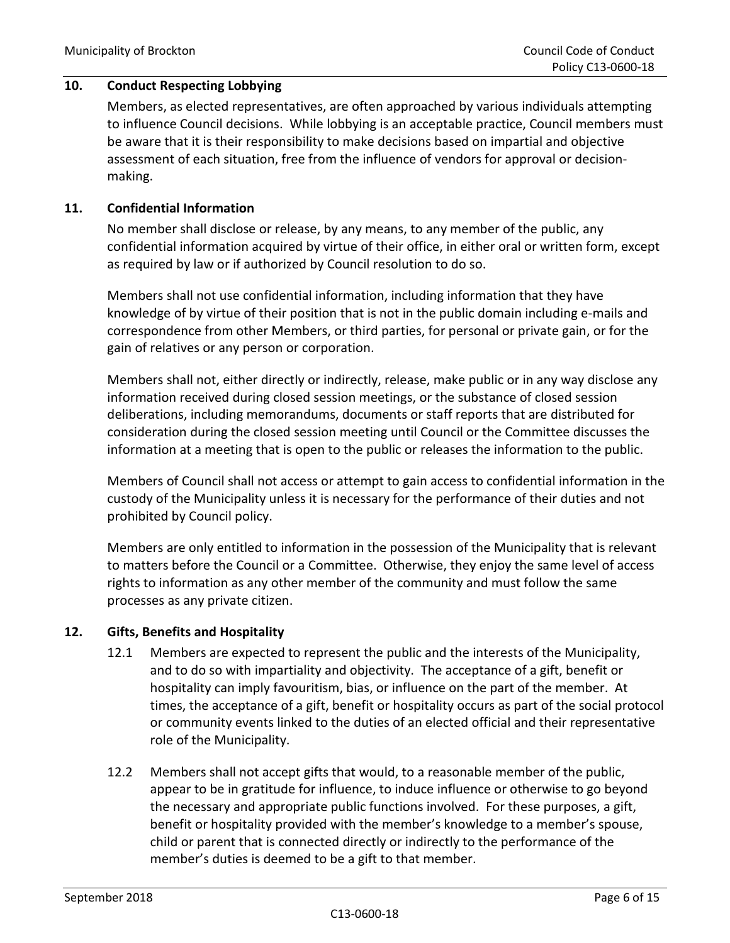# **10. Conduct Respecting Lobbying**

Members, as elected representatives, are often approached by various individuals attempting to influence Council decisions. While lobbying is an acceptable practice, Council members must be aware that it is their responsibility to make decisions based on impartial and objective assessment of each situation, free from the influence of vendors for approval or decisionmaking.

### **11. Confidential Information**

No member shall disclose or release, by any means, to any member of the public, any confidential information acquired by virtue of their office, in either oral or written form, except as required by law or if authorized by Council resolution to do so.

Members shall not use confidential information, including information that they have knowledge of by virtue of their position that is not in the public domain including e-mails and correspondence from other Members, or third parties, for personal or private gain, or for the gain of relatives or any person or corporation.

Members shall not, either directly or indirectly, release, make public or in any way disclose any information received during closed session meetings, or the substance of closed session deliberations, including memorandums, documents or staff reports that are distributed for consideration during the closed session meeting until Council or the Committee discusses the information at a meeting that is open to the public or releases the information to the public.

Members of Council shall not access or attempt to gain access to confidential information in the custody of the Municipality unless it is necessary for the performance of their duties and not prohibited by Council policy.

Members are only entitled to information in the possession of the Municipality that is relevant to matters before the Council or a Committee. Otherwise, they enjoy the same level of access rights to information as any other member of the community and must follow the same processes as any private citizen.

# **12. Gifts, Benefits and Hospitality**

- 12.1 Members are expected to represent the public and the interests of the Municipality, and to do so with impartiality and objectivity. The acceptance of a gift, benefit or hospitality can imply favouritism, bias, or influence on the part of the member. At times, the acceptance of a gift, benefit or hospitality occurs as part of the social protocol or community events linked to the duties of an elected official and their representative role of the Municipality.
- 12.2 Members shall not accept gifts that would, to a reasonable member of the public, appear to be in gratitude for influence, to induce influence or otherwise to go beyond the necessary and appropriate public functions involved. For these purposes, a gift, benefit or hospitality provided with the member's knowledge to a member's spouse, child or parent that is connected directly or indirectly to the performance of the member's duties is deemed to be a gift to that member.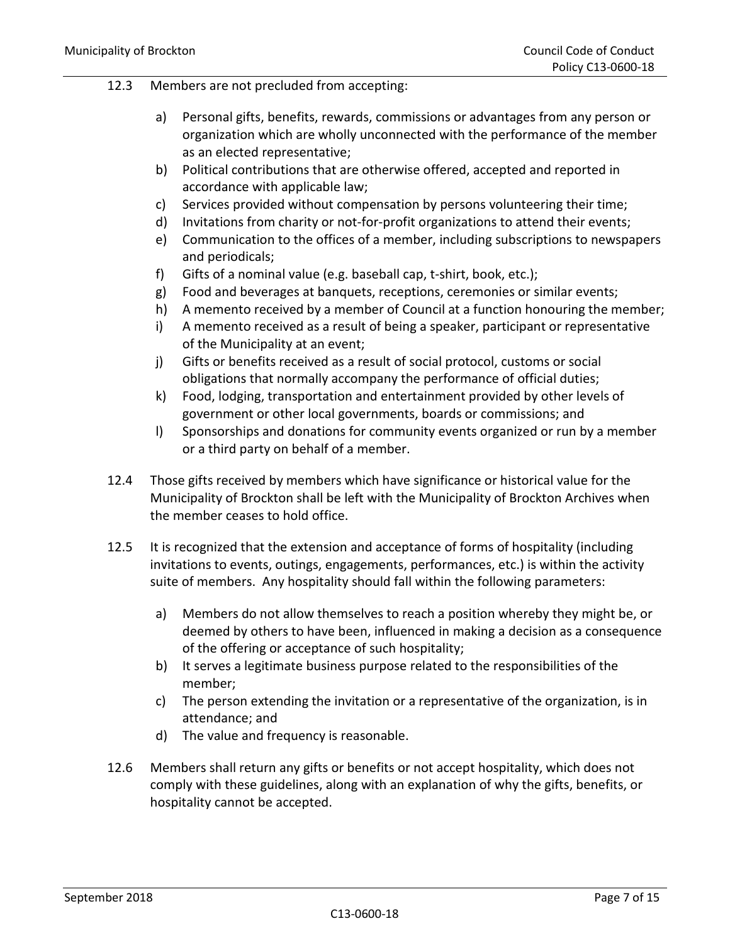#### 12.3 Members are not precluded from accepting:

- a) Personal gifts, benefits, rewards, commissions or advantages from any person or organization which are wholly unconnected with the performance of the member as an elected representative;
- b) Political contributions that are otherwise offered, accepted and reported in accordance with applicable law;
- c) Services provided without compensation by persons volunteering their time;
- d) Invitations from charity or not-for-profit organizations to attend their events;
- e) Communication to the offices of a member, including subscriptions to newspapers and periodicals;
- f) Gifts of a nominal value (e.g. baseball cap, t-shirt, book, etc.);
- g) Food and beverages at banquets, receptions, ceremonies or similar events;
- h) A memento received by a member of Council at a function honouring the member;
- i) A memento received as a result of being a speaker, participant or representative of the Municipality at an event;
- j) Gifts or benefits received as a result of social protocol, customs or social obligations that normally accompany the performance of official duties;
- k) Food, lodging, transportation and entertainment provided by other levels of government or other local governments, boards or commissions; and
- l) Sponsorships and donations for community events organized or run by a member or a third party on behalf of a member.
- 12.4 Those gifts received by members which have significance or historical value for the Municipality of Brockton shall be left with the Municipality of Brockton Archives when the member ceases to hold office.
- 12.5 It is recognized that the extension and acceptance of forms of hospitality (including invitations to events, outings, engagements, performances, etc.) is within the activity suite of members. Any hospitality should fall within the following parameters:
	- a) Members do not allow themselves to reach a position whereby they might be, or deemed by others to have been, influenced in making a decision as a consequence of the offering or acceptance of such hospitality;
	- b) It serves a legitimate business purpose related to the responsibilities of the member;
	- c) The person extending the invitation or a representative of the organization, is in attendance; and
	- d) The value and frequency is reasonable.
- 12.6 Members shall return any gifts or benefits or not accept hospitality, which does not comply with these guidelines, along with an explanation of why the gifts, benefits, or hospitality cannot be accepted.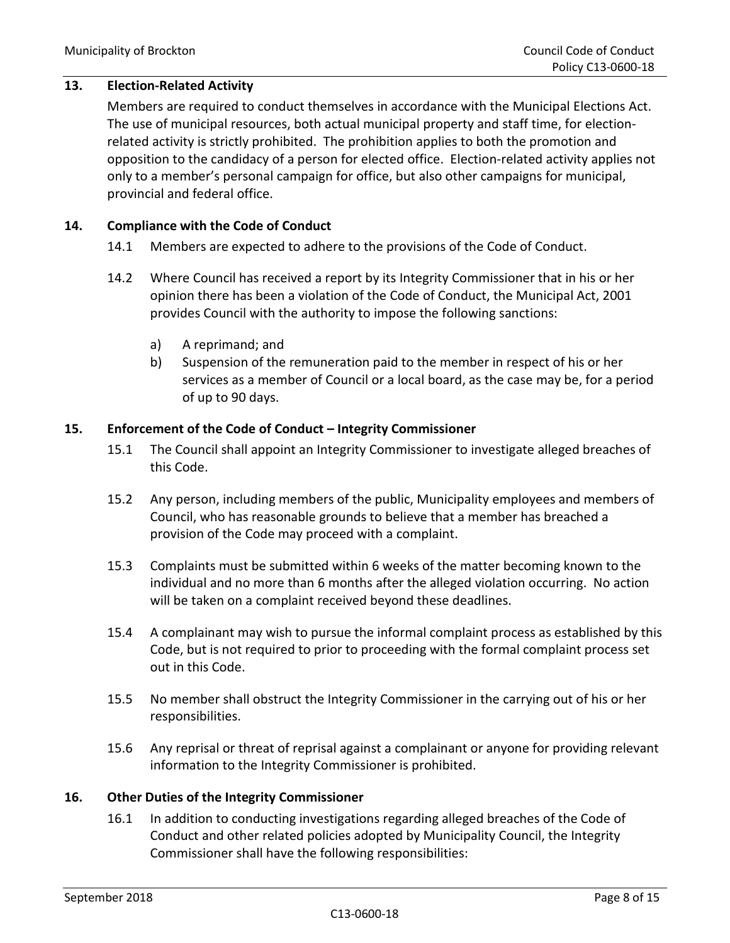### **13. Election-Related Activity**

Members are required to conduct themselves in accordance with the Municipal Elections Act. The use of municipal resources, both actual municipal property and staff time, for electionrelated activity is strictly prohibited. The prohibition applies to both the promotion and opposition to the candidacy of a person for elected office. Election-related activity applies not only to a member's personal campaign for office, but also other campaigns for municipal, provincial and federal office.

#### **14. Compliance with the Code of Conduct**

- 14.1 Members are expected to adhere to the provisions of the Code of Conduct.
- 14.2 Where Council has received a report by its Integrity Commissioner that in his or her opinion there has been a violation of the Code of Conduct, the Municipal Act, 2001 provides Council with the authority to impose the following sanctions:
	- a) A reprimand; and
	- b) Suspension of the remuneration paid to the member in respect of his or her services as a member of Council or a local board, as the case may be, for a period of up to 90 days.

#### **15. Enforcement of the Code of Conduct – Integrity Commissioner**

- 15.1 The Council shall appoint an Integrity Commissioner to investigate alleged breaches of this Code.
- 15.2 Any person, including members of the public, Municipality employees and members of Council, who has reasonable grounds to believe that a member has breached a provision of the Code may proceed with a complaint.
- 15.3 Complaints must be submitted within 6 weeks of the matter becoming known to the individual and no more than 6 months after the alleged violation occurring. No action will be taken on a complaint received beyond these deadlines.
- 15.4 A complainant may wish to pursue the informal complaint process as established by this Code, but is not required to prior to proceeding with the formal complaint process set out in this Code.
- 15.5 No member shall obstruct the Integrity Commissioner in the carrying out of his or her responsibilities.
- 15.6 Any reprisal or threat of reprisal against a complainant or anyone for providing relevant information to the Integrity Commissioner is prohibited.

#### **16. Other Duties of the Integrity Commissioner**

16.1 In addition to conducting investigations regarding alleged breaches of the Code of Conduct and other related policies adopted by Municipality Council, the Integrity Commissioner shall have the following responsibilities: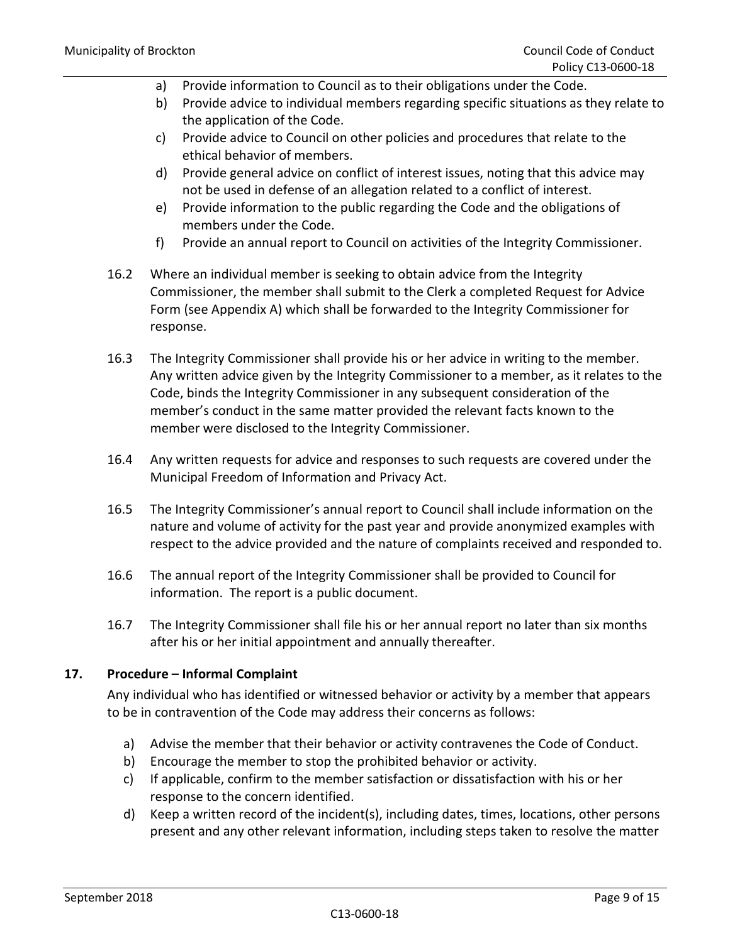- a) Provide information to Council as to their obligations under the Code.
- b) Provide advice to individual members regarding specific situations as they relate to the application of the Code.
- c) Provide advice to Council on other policies and procedures that relate to the ethical behavior of members.
- d) Provide general advice on conflict of interest issues, noting that this advice may not be used in defense of an allegation related to a conflict of interest.
- e) Provide information to the public regarding the Code and the obligations of members under the Code.
- f) Provide an annual report to Council on activities of the Integrity Commissioner.
- 16.2 Where an individual member is seeking to obtain advice from the Integrity Commissioner, the member shall submit to the Clerk a completed Request for Advice Form (see Appendix A) which shall be forwarded to the Integrity Commissioner for response.
- 16.3 The Integrity Commissioner shall provide his or her advice in writing to the member. Any written advice given by the Integrity Commissioner to a member, as it relates to the Code, binds the Integrity Commissioner in any subsequent consideration of the member's conduct in the same matter provided the relevant facts known to the member were disclosed to the Integrity Commissioner.
- 16.4 Any written requests for advice and responses to such requests are covered under the Municipal Freedom of Information and Privacy Act.
- 16.5 The Integrity Commissioner's annual report to Council shall include information on the nature and volume of activity for the past year and provide anonymized examples with respect to the advice provided and the nature of complaints received and responded to.
- 16.6 The annual report of the Integrity Commissioner shall be provided to Council for information. The report is a public document.
- 16.7 The Integrity Commissioner shall file his or her annual report no later than six months after his or her initial appointment and annually thereafter.

# **17. Procedure – Informal Complaint**

Any individual who has identified or witnessed behavior or activity by a member that appears to be in contravention of the Code may address their concerns as follows:

- a) Advise the member that their behavior or activity contravenes the Code of Conduct.
- b) Encourage the member to stop the prohibited behavior or activity.
- c) If applicable, confirm to the member satisfaction or dissatisfaction with his or her response to the concern identified.
- d) Keep a written record of the incident(s), including dates, times, locations, other persons present and any other relevant information, including steps taken to resolve the matter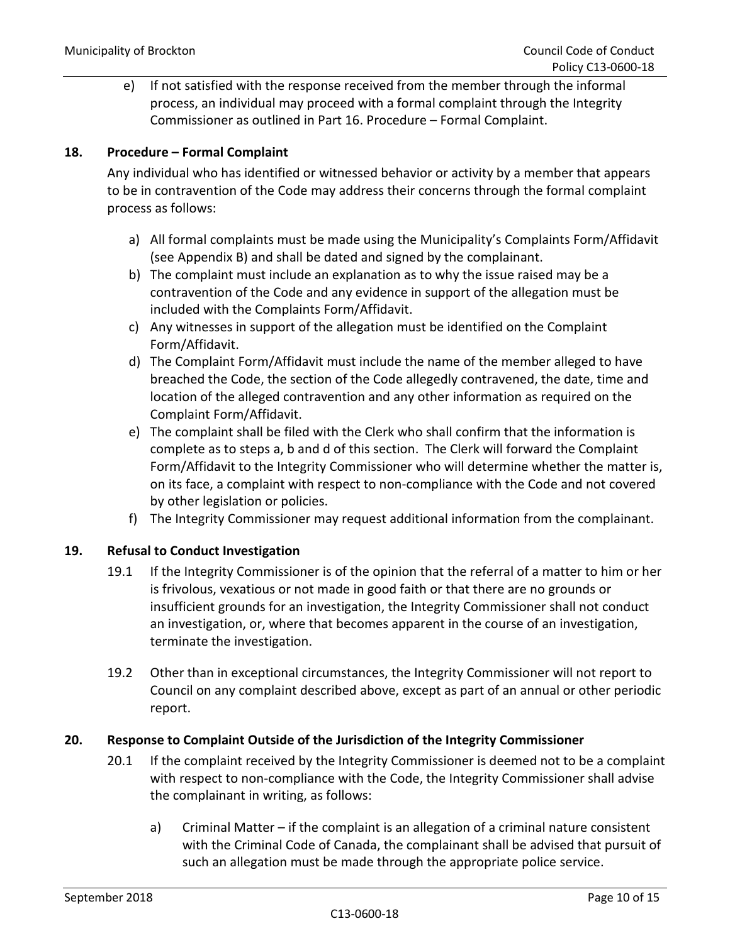e) If not satisfied with the response received from the member through the informal process, an individual may proceed with a formal complaint through the Integrity Commissioner as outlined in Part 16. Procedure – Formal Complaint.

# **18. Procedure – Formal Complaint**

Any individual who has identified or witnessed behavior or activity by a member that appears to be in contravention of the Code may address their concerns through the formal complaint process as follows:

- a) All formal complaints must be made using the Municipality's Complaints Form/Affidavit (see Appendix B) and shall be dated and signed by the complainant.
- b) The complaint must include an explanation as to why the issue raised may be a contravention of the Code and any evidence in support of the allegation must be included with the Complaints Form/Affidavit.
- c) Any witnesses in support of the allegation must be identified on the Complaint Form/Affidavit.
- d) The Complaint Form/Affidavit must include the name of the member alleged to have breached the Code, the section of the Code allegedly contravened, the date, time and location of the alleged contravention and any other information as required on the Complaint Form/Affidavit.
- e) The complaint shall be filed with the Clerk who shall confirm that the information is complete as to steps a, b and d of this section. The Clerk will forward the Complaint Form/Affidavit to the Integrity Commissioner who will determine whether the matter is, on its face, a complaint with respect to non-compliance with the Code and not covered by other legislation or policies.
- f) The Integrity Commissioner may request additional information from the complainant.

# **19. Refusal to Conduct Investigation**

- 19.1 If the Integrity Commissioner is of the opinion that the referral of a matter to him or her is frivolous, vexatious or not made in good faith or that there are no grounds or insufficient grounds for an investigation, the Integrity Commissioner shall not conduct an investigation, or, where that becomes apparent in the course of an investigation, terminate the investigation.
- 19.2 Other than in exceptional circumstances, the Integrity Commissioner will not report to Council on any complaint described above, except as part of an annual or other periodic report.

# **20. Response to Complaint Outside of the Jurisdiction of the Integrity Commissioner**

- 20.1 If the complaint received by the Integrity Commissioner is deemed not to be a complaint with respect to non-compliance with the Code, the Integrity Commissioner shall advise the complainant in writing, as follows:
	- a) Criminal Matter if the complaint is an allegation of a criminal nature consistent with the Criminal Code of Canada, the complainant shall be advised that pursuit of such an allegation must be made through the appropriate police service.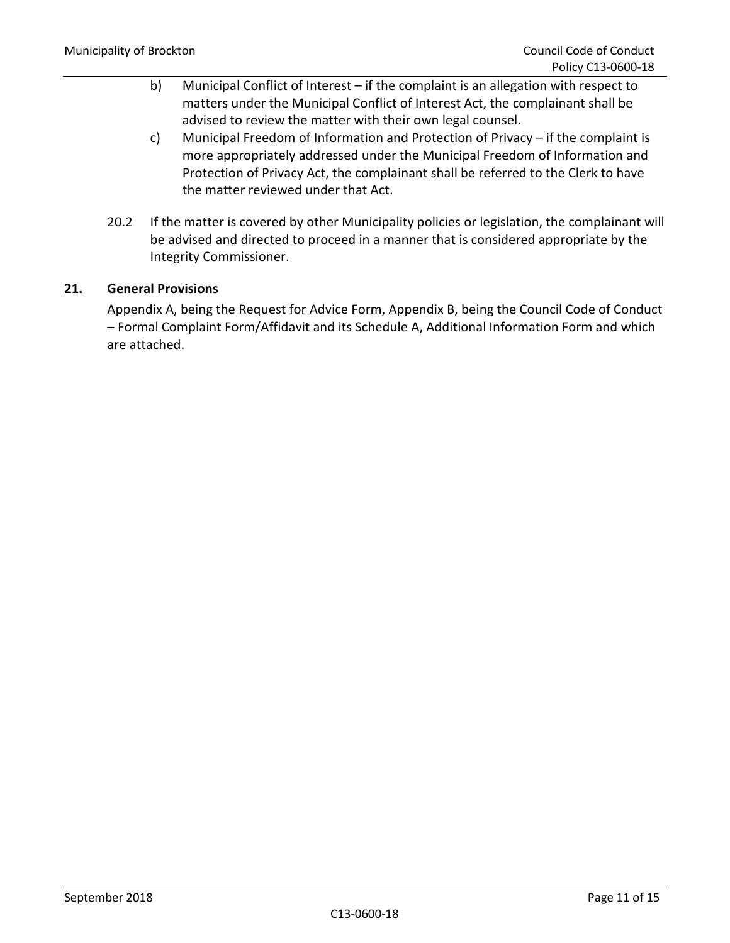- b) Municipal Conflict of Interest if the complaint is an allegation with respect to matters under the Municipal Conflict of Interest Act, the complainant shall be advised to review the matter with their own legal counsel.
- c) Municipal Freedom of Information and Protection of Privacy if the complaint is more appropriately addressed under the Municipal Freedom of Information and Protection of Privacy Act, the complainant shall be referred to the Clerk to have the matter reviewed under that Act.
- 20.2 If the matter is covered by other Municipality policies or legislation, the complainant will be advised and directed to proceed in a manner that is considered appropriate by the Integrity Commissioner.

# **21. General Provisions**

Appendix A, being the Request for Advice Form, Appendix B, being the Council Code of Conduct – Formal Complaint Form/Affidavit and its Schedule A, Additional Information Form and which are attached.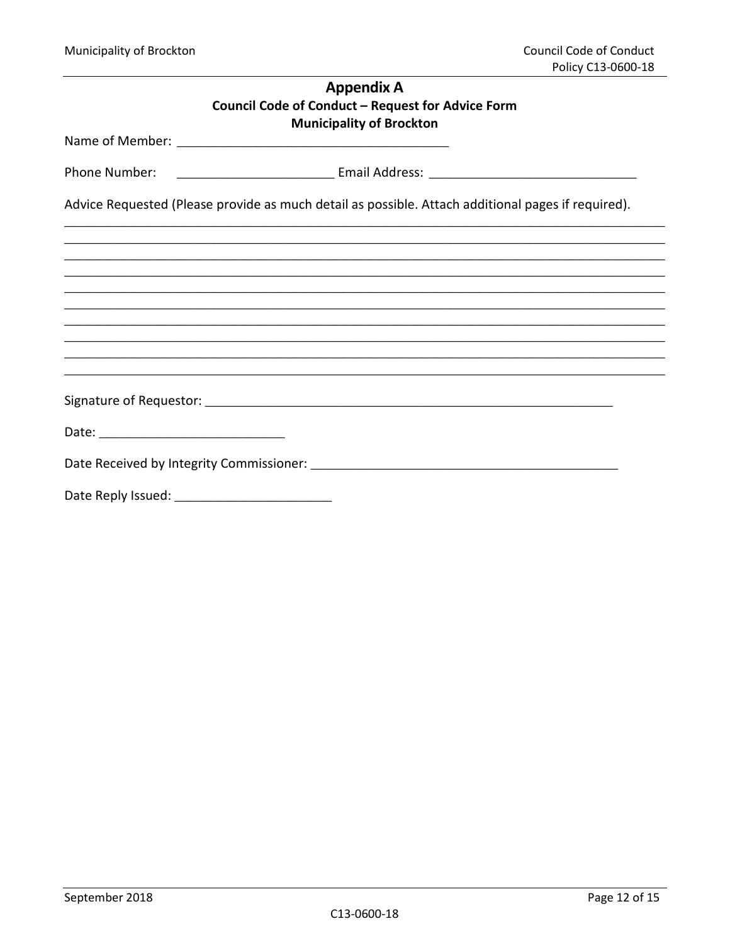| <b>Appendix A</b>                                                                                  |  |
|----------------------------------------------------------------------------------------------------|--|
| Council Code of Conduct - Request for Advice Form                                                  |  |
| <b>Municipality of Brockton</b>                                                                    |  |
|                                                                                                    |  |
| Advice Requested (Please provide as much detail as possible. Attach additional pages if required). |  |
|                                                                                                    |  |
|                                                                                                    |  |
|                                                                                                    |  |
| ,我们也不能会在这里,我们也不能会在这里,我们也不能会在这里,我们也不能会在这里,我们也不能会在这里,我们也不能会在这里,我们也不能会不能会不能会。""我们,我们                  |  |
|                                                                                                    |  |
|                                                                                                    |  |
|                                                                                                    |  |
|                                                                                                    |  |
|                                                                                                    |  |
|                                                                                                    |  |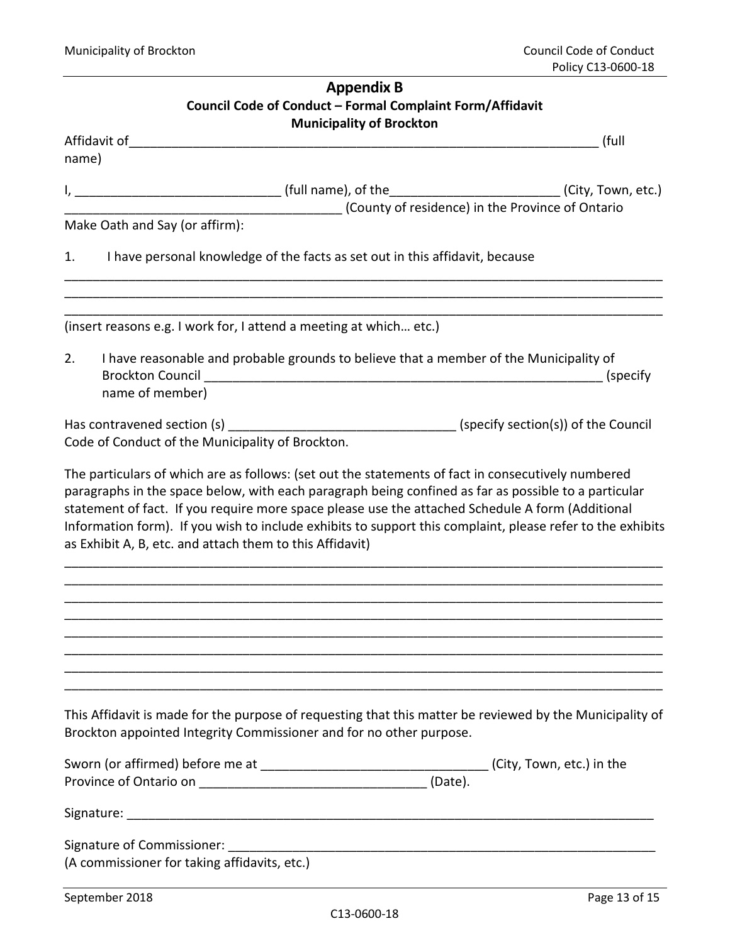| <b>Appendix B</b>               |                                                                                                                                                                                                                                                                                                                                                                                    |  |  |  |  |
|---------------------------------|------------------------------------------------------------------------------------------------------------------------------------------------------------------------------------------------------------------------------------------------------------------------------------------------------------------------------------------------------------------------------------|--|--|--|--|
|                                 | Council Code of Conduct - Formal Complaint Form/Affidavit                                                                                                                                                                                                                                                                                                                          |  |  |  |  |
| <b>Municipality of Brockton</b> |                                                                                                                                                                                                                                                                                                                                                                                    |  |  |  |  |
|                                 | (full                                                                                                                                                                                                                                                                                                                                                                              |  |  |  |  |
| name)                           |                                                                                                                                                                                                                                                                                                                                                                                    |  |  |  |  |
|                                 |                                                                                                                                                                                                                                                                                                                                                                                    |  |  |  |  |
|                                 | (County of residence) in the Province of Ontario                                                                                                                                                                                                                                                                                                                                   |  |  |  |  |
|                                 | Make Oath and Say (or affirm):                                                                                                                                                                                                                                                                                                                                                     |  |  |  |  |
| 1.                              | I have personal knowledge of the facts as set out in this affidavit, because                                                                                                                                                                                                                                                                                                       |  |  |  |  |
|                                 | (insert reasons e.g. I work for, I attend a meeting at which etc.)                                                                                                                                                                                                                                                                                                                 |  |  |  |  |
| 2.                              | I have reasonable and probable grounds to believe that a member of the Municipality of                                                                                                                                                                                                                                                                                             |  |  |  |  |
|                                 | name of member)                                                                                                                                                                                                                                                                                                                                                                    |  |  |  |  |
|                                 |                                                                                                                                                                                                                                                                                                                                                                                    |  |  |  |  |
|                                 | Code of Conduct of the Municipality of Brockton.                                                                                                                                                                                                                                                                                                                                   |  |  |  |  |
|                                 | paragraphs in the space below, with each paragraph being confined as far as possible to a particular<br>statement of fact. If you require more space please use the attached Schedule A form (Additional<br>Information form). If you wish to include exhibits to support this complaint, please refer to the exhibits<br>as Exhibit A, B, etc. and attach them to this Affidavit) |  |  |  |  |
|                                 |                                                                                                                                                                                                                                                                                                                                                                                    |  |  |  |  |
|                                 | This Affidavit is made for the purpose of requesting that this matter be reviewed by the Municipality of<br>Brockton appointed Integrity Commissioner and for no other purpose.                                                                                                                                                                                                    |  |  |  |  |
|                                 |                                                                                                                                                                                                                                                                                                                                                                                    |  |  |  |  |
|                                 |                                                                                                                                                                                                                                                                                                                                                                                    |  |  |  |  |
|                                 | (A commissioner for taking affidavits, etc.)                                                                                                                                                                                                                                                                                                                                       |  |  |  |  |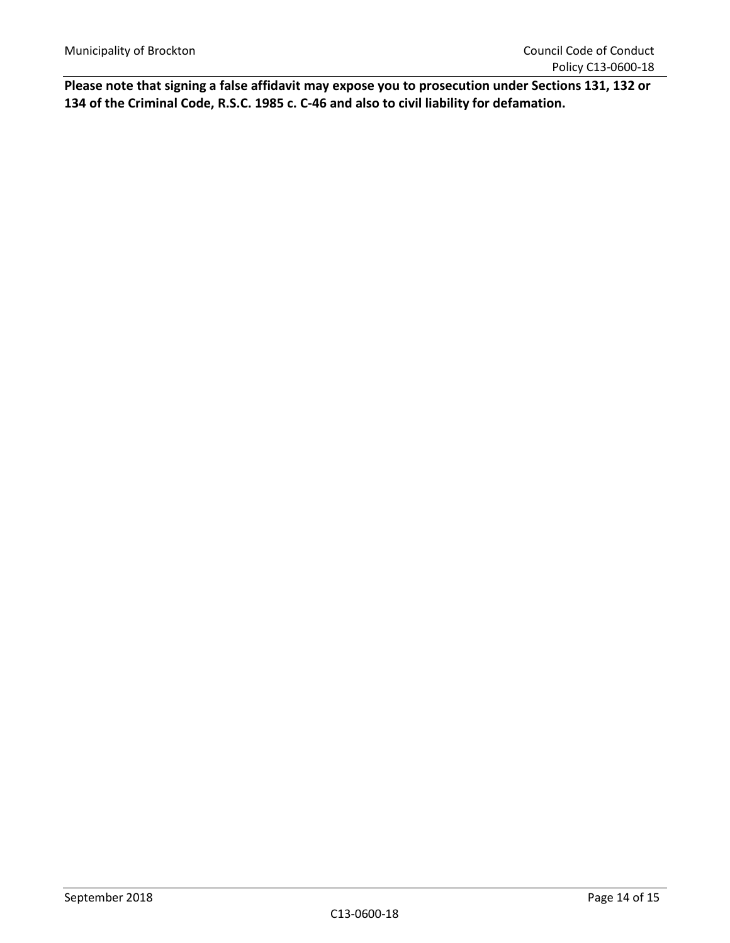**Please note that signing a false affidavit may expose you to prosecution under Sections 131, 132 or 134 of the Criminal Code, R.S.C. 1985 c. C-46 and also to civil liability for defamation.**